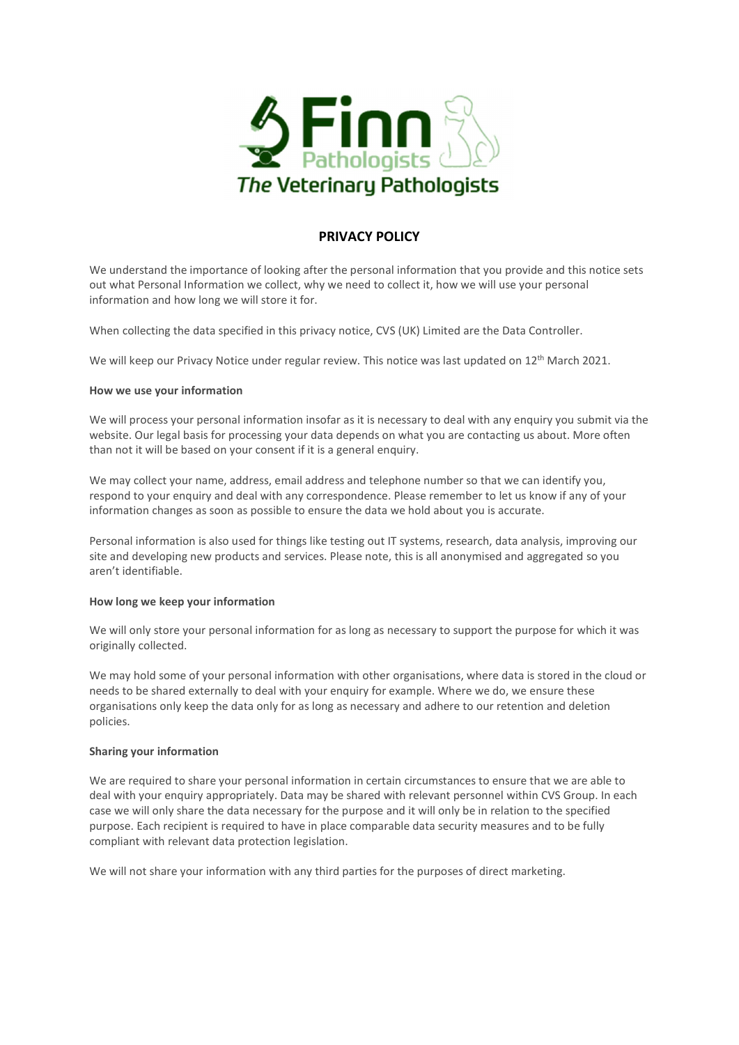

# PRIVACY POLICY

We understand the importance of looking after the personal information that you provide and this notice sets out what Personal Information we collect, why we need to collect it, how we will use your personal information and how long we will store it for.

When collecting the data specified in this privacy notice, CVS (UK) Limited are the Data Controller.

We will keep our Privacy Notice under regular review. This notice was last updated on 12<sup>th</sup> March 2021.

## How we use your information

We will process your personal information insofar as it is necessary to deal with any enquiry you submit via the website. Our legal basis for processing your data depends on what you are contacting us about. More often than not it will be based on your consent if it is a general enquiry.

We may collect your name, address, email address and telephone number so that we can identify you, respond to your enquiry and deal with any correspondence. Please remember to let us know if any of your information changes as soon as possible to ensure the data we hold about you is accurate.

Personal information is also used for things like testing out IT systems, research, data analysis, improving our site and developing new products and services. Please note, this is all anonymised and aggregated so you aren't identifiable.

# How long we keep your information

We will only store your personal information for as long as necessary to support the purpose for which it was originally collected.

We may hold some of your personal information with other organisations, where data is stored in the cloud or needs to be shared externally to deal with your enquiry for example. Where we do, we ensure these organisations only keep the data only for as long as necessary and adhere to our retention and deletion policies.

# Sharing your information

We are required to share your personal information in certain circumstances to ensure that we are able to deal with your enquiry appropriately. Data may be shared with relevant personnel within CVS Group. In each case we will only share the data necessary for the purpose and it will only be in relation to the specified purpose. Each recipient is required to have in place comparable data security measures and to be fully compliant with relevant data protection legislation.

We will not share your information with any third parties for the purposes of direct marketing.